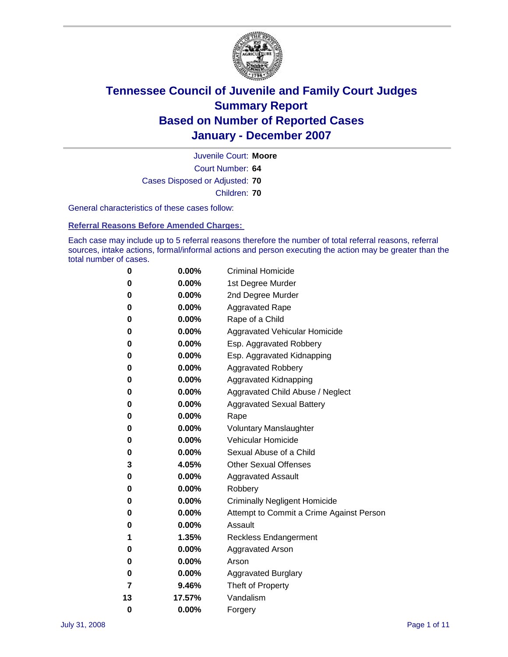

Court Number: **64** Juvenile Court: **Moore** Cases Disposed or Adjusted: **70** Children: **70**

General characteristics of these cases follow:

**Referral Reasons Before Amended Charges:** 

Each case may include up to 5 referral reasons therefore the number of total referral reasons, referral sources, intake actions, formal/informal actions and person executing the action may be greater than the total number of cases.

| 0  | 0.00%    | <b>Criminal Homicide</b>                 |  |  |  |
|----|----------|------------------------------------------|--|--|--|
| 0  | 0.00%    | 1st Degree Murder                        |  |  |  |
| 0  | $0.00\%$ | 2nd Degree Murder                        |  |  |  |
| 0  | 0.00%    | <b>Aggravated Rape</b>                   |  |  |  |
| 0  | 0.00%    | Rape of a Child                          |  |  |  |
| 0  | 0.00%    | Aggravated Vehicular Homicide            |  |  |  |
| 0  | 0.00%    | Esp. Aggravated Robbery                  |  |  |  |
| 0  | 0.00%    | Esp. Aggravated Kidnapping               |  |  |  |
| 0  | 0.00%    | <b>Aggravated Robbery</b>                |  |  |  |
| 0  | $0.00\%$ | Aggravated Kidnapping                    |  |  |  |
| 0  | 0.00%    | Aggravated Child Abuse / Neglect         |  |  |  |
| 0  | $0.00\%$ | <b>Aggravated Sexual Battery</b>         |  |  |  |
| 0  | 0.00%    | Rape                                     |  |  |  |
| 0  | 0.00%    | <b>Voluntary Manslaughter</b>            |  |  |  |
| 0  | 0.00%    | Vehicular Homicide                       |  |  |  |
| 0  | 0.00%    | Sexual Abuse of a Child                  |  |  |  |
| 3  | 4.05%    | <b>Other Sexual Offenses</b>             |  |  |  |
| 0  | 0.00%    | <b>Aggravated Assault</b>                |  |  |  |
| 0  | $0.00\%$ | Robbery                                  |  |  |  |
| 0  | 0.00%    | <b>Criminally Negligent Homicide</b>     |  |  |  |
| 0  | 0.00%    | Attempt to Commit a Crime Against Person |  |  |  |
| 0  | 0.00%    | Assault                                  |  |  |  |
| 1  | 1.35%    | <b>Reckless Endangerment</b>             |  |  |  |
| 0  | 0.00%    | <b>Aggravated Arson</b>                  |  |  |  |
| 0  | 0.00%    | Arson                                    |  |  |  |
| 0  | 0.00%    | <b>Aggravated Burglary</b>               |  |  |  |
| 7  | 9.46%    | Theft of Property                        |  |  |  |
| 13 | 17.57%   | Vandalism                                |  |  |  |
| 0  | 0.00%    | Forgery                                  |  |  |  |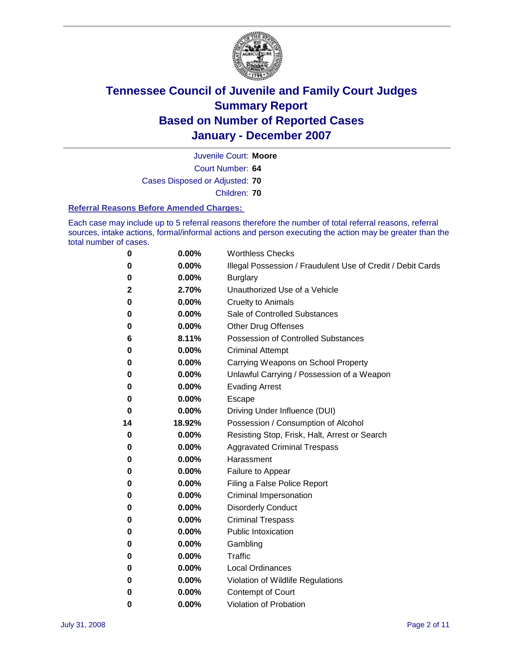

Court Number: **64** Juvenile Court: **Moore** Cases Disposed or Adjusted: **70** Children: **70**

#### **Referral Reasons Before Amended Charges:**

Each case may include up to 5 referral reasons therefore the number of total referral reasons, referral sources, intake actions, formal/informal actions and person executing the action may be greater than the total number of cases.

| 0  | 0.00%  | <b>Worthless Checks</b>                                     |
|----|--------|-------------------------------------------------------------|
| 0  | 0.00%  | Illegal Possession / Fraudulent Use of Credit / Debit Cards |
| 0  | 0.00%  | <b>Burglary</b>                                             |
| 2  | 2.70%  | Unauthorized Use of a Vehicle                               |
| 0  | 0.00%  | <b>Cruelty to Animals</b>                                   |
| 0  | 0.00%  | Sale of Controlled Substances                               |
| 0  | 0.00%  | <b>Other Drug Offenses</b>                                  |
| 6  | 8.11%  | Possession of Controlled Substances                         |
| 0  | 0.00%  | <b>Criminal Attempt</b>                                     |
| 0  | 0.00%  | Carrying Weapons on School Property                         |
| 0  | 0.00%  | Unlawful Carrying / Possession of a Weapon                  |
| 0  | 0.00%  | <b>Evading Arrest</b>                                       |
| 0  | 0.00%  | Escape                                                      |
| 0  | 0.00%  | Driving Under Influence (DUI)                               |
| 14 | 18.92% | Possession / Consumption of Alcohol                         |
| 0  | 0.00%  | Resisting Stop, Frisk, Halt, Arrest or Search               |
| 0  | 0.00%  | <b>Aggravated Criminal Trespass</b>                         |
| 0  | 0.00%  | Harassment                                                  |
| 0  | 0.00%  | Failure to Appear                                           |
| 0  | 0.00%  | Filing a False Police Report                                |
| 0  | 0.00%  | Criminal Impersonation                                      |
| 0  | 0.00%  | <b>Disorderly Conduct</b>                                   |
| 0  | 0.00%  | <b>Criminal Trespass</b>                                    |
| 0  | 0.00%  | <b>Public Intoxication</b>                                  |
| 0  | 0.00%  | Gambling                                                    |
| 0  | 0.00%  | Traffic                                                     |
| 0  | 0.00%  | <b>Local Ordinances</b>                                     |
| 0  | 0.00%  | Violation of Wildlife Regulations                           |
| 0  | 0.00%  | Contempt of Court                                           |
| 0  | 0.00%  | Violation of Probation                                      |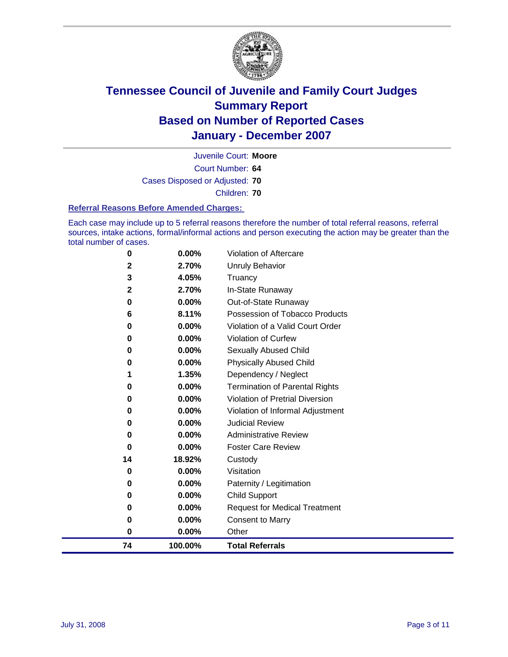

Court Number: **64** Juvenile Court: **Moore** Cases Disposed or Adjusted: **70** Children: **70**

#### **Referral Reasons Before Amended Charges:**

Each case may include up to 5 referral reasons therefore the number of total referral reasons, referral sources, intake actions, formal/informal actions and person executing the action may be greater than the total number of cases.

| 74                | 100.00%        | <b>Total Referrals</b>                |
|-------------------|----------------|---------------------------------------|
| 0                 | 0.00%          | Other                                 |
| 0                 | 0.00%          | <b>Consent to Marry</b>               |
| 0                 | 0.00%          | <b>Request for Medical Treatment</b>  |
| 0                 | 0.00%          | Child Support                         |
| 0                 | 0.00%          | Paternity / Legitimation              |
| 0                 | 0.00%          | Visitation                            |
| 14                | 18.92%         | Custody                               |
| 0                 | $0.00\%$       | <b>Foster Care Review</b>             |
| 0                 | $0.00\%$       | <b>Administrative Review</b>          |
| 0                 | 0.00%          | <b>Judicial Review</b>                |
| 0                 | 0.00%          | Violation of Informal Adjustment      |
| 0                 | 0.00%          | Violation of Pretrial Diversion       |
| 0                 | 0.00%          | <b>Termination of Parental Rights</b> |
|                   | 1.35%          | Dependency / Neglect                  |
| 0                 | 0.00%          | <b>Physically Abused Child</b>        |
| 0                 | 0.00%          | Sexually Abused Child                 |
| 0                 | 0.00%          | <b>Violation of Curfew</b>            |
| 0                 | 0.00%          | Violation of a Valid Court Order      |
| 6                 | 8.11%          | Possession of Tobacco Products        |
| 0                 | 0.00%          | Out-of-State Runaway                  |
| $\mathbf{2}$      | 4.05%<br>2.70% | Truancy<br>In-State Runaway           |
| $\mathbf{2}$<br>3 | 2.70%          | <b>Unruly Behavior</b>                |
|                   |                |                                       |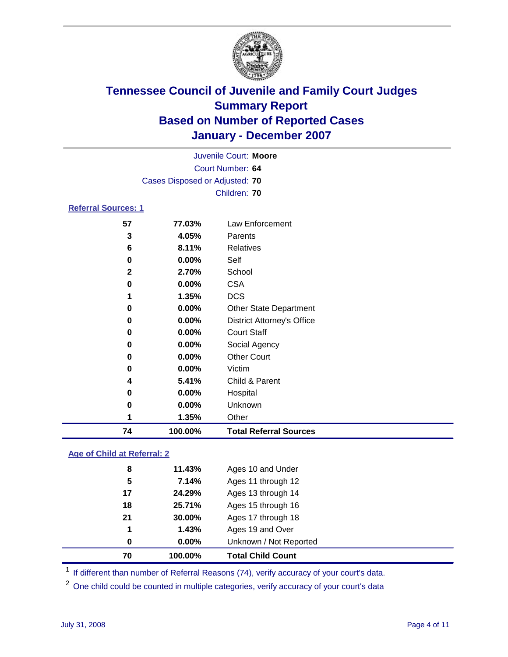

|                            |                                | Juvenile Court: Moore             |
|----------------------------|--------------------------------|-----------------------------------|
|                            |                                | Court Number: 64                  |
|                            | Cases Disposed or Adjusted: 70 |                                   |
|                            |                                | Children: 70                      |
| <b>Referral Sources: 1</b> |                                |                                   |
| 57                         | 77.03%                         | Law Enforcement                   |
| 3                          | 4.05%                          | Parents                           |
| 6                          | 8.11%                          | Relatives                         |
| 0                          | 0.00%                          | Self                              |
| $\mathbf{2}$               | 2.70%                          | School                            |
| 0                          | 0.00%                          | <b>CSA</b>                        |
| 1                          | 1.35%                          | <b>DCS</b>                        |
| 0                          | 0.00%                          | <b>Other State Department</b>     |
| 0                          | $0.00\%$                       | <b>District Attorney's Office</b> |
| 0                          | 0.00%                          | <b>Court Staff</b>                |
| 0                          | $0.00\%$                       | Social Agency                     |
| 0                          | $0.00\%$                       | <b>Other Court</b>                |
| 0                          | $0.00\%$                       | Victim                            |
| 4                          | 5.41%                          | Child & Parent                    |
| 0                          | $0.00\%$                       | Hospital                          |

| 74. | 100.00%  | <b>Total Referral Sources</b> |  |
|-----|----------|-------------------------------|--|
|     | 1.35%    | <b>つther</b>                  |  |
| O   | $0.00\%$ | Unknown                       |  |

### **Age of Child at Referral: 2**

| 70 | 100.00%  | <b>Total Child Count</b> |
|----|----------|--------------------------|
| 0  | $0.00\%$ | Unknown / Not Reported   |
| 1  | 1.43%    | Ages 19 and Over         |
| 21 | 30.00%   | Ages 17 through 18       |
| 18 | 25.71%   | Ages 15 through 16       |
| 17 | 24.29%   | Ages 13 through 14       |
| 5  | 7.14%    | Ages 11 through 12       |
| 8  | 11.43%   | Ages 10 and Under        |
|    |          |                          |

<sup>1</sup> If different than number of Referral Reasons (74), verify accuracy of your court's data.

One child could be counted in multiple categories, verify accuracy of your court's data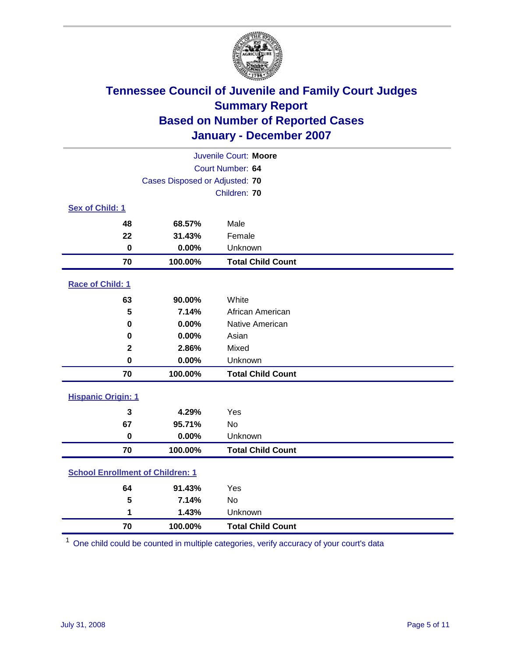

| Juvenile Court: Moore                   |                                |                          |  |  |
|-----------------------------------------|--------------------------------|--------------------------|--|--|
| Court Number: 64                        |                                |                          |  |  |
|                                         | Cases Disposed or Adjusted: 70 |                          |  |  |
|                                         |                                | Children: 70             |  |  |
| Sex of Child: 1                         |                                |                          |  |  |
| 48                                      | 68.57%                         | Male                     |  |  |
| 22                                      | 31.43%                         | Female                   |  |  |
| $\bf{0}$                                | 0.00%                          | Unknown                  |  |  |
| 70                                      | 100.00%                        | <b>Total Child Count</b> |  |  |
| <b>Race of Child: 1</b>                 |                                |                          |  |  |
| 63                                      | 90.00%                         | White                    |  |  |
| 5                                       | 7.14%                          | African American         |  |  |
| 0                                       | 0.00%                          | Native American          |  |  |
| 0                                       | 0.00%                          | Asian                    |  |  |
| $\mathbf 2$                             | 2.86%                          | Mixed                    |  |  |
| $\bf{0}$                                | 0.00%                          | Unknown                  |  |  |
| 70                                      | 100.00%                        | <b>Total Child Count</b> |  |  |
| <b>Hispanic Origin: 1</b>               |                                |                          |  |  |
| 3                                       | 4.29%                          | Yes                      |  |  |
| 67                                      | 95.71%                         | <b>No</b>                |  |  |
| $\bf{0}$                                | 0.00%                          | Unknown                  |  |  |
| 70                                      | 100.00%                        | <b>Total Child Count</b> |  |  |
| <b>School Enrollment of Children: 1</b> |                                |                          |  |  |
| 64                                      | 91.43%                         | Yes                      |  |  |
| 5                                       | 7.14%                          | No                       |  |  |
| 1                                       | 1.43%                          | Unknown                  |  |  |
| 70                                      | 100.00%                        | <b>Total Child Count</b> |  |  |

One child could be counted in multiple categories, verify accuracy of your court's data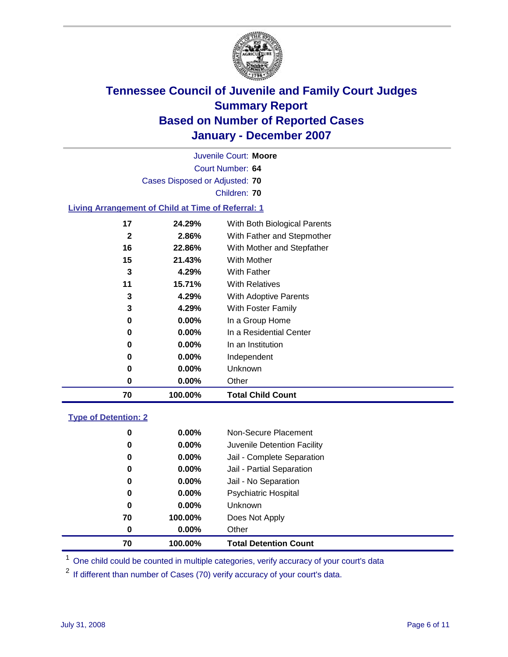

Court Number: **64** Juvenile Court: **Moore** Cases Disposed or Adjusted: **70** Children: **70 Living Arrangement of Child at Time of Referral: 1 24.29%** With Both Biological Parents **2.86%** With Father and Stepmother **22.86%** With Mother and Stepfather **21.43%** With Mother **4.29%** With Father **15.71%** With Relatives **4.29%** With Adoptive Parents **4.29%** With Foster Family **0.00%** In a Group Home

| 70 | 100.00%  | <b>Total Child Count</b> |
|----|----------|--------------------------|
| 0  | $0.00\%$ | Other                    |
| 0  | $0.00\%$ | Unknown                  |
| 0  | $0.00\%$ | Independent              |
| 0  | $0.00\%$ | In an Institution        |
| 0  | $0.00\%$ | In a Residential Center  |
| 0  | $0.00\%$ | In a Group Home          |
| 3  | 4.29%    | With Foster Family       |

### **Type of Detention: 2**

| 70 | 100.00%  | <b>Total Detention Count</b> |  |
|----|----------|------------------------------|--|
| 0  | $0.00\%$ | Other                        |  |
| 70 | 100.00%  | Does Not Apply               |  |
| 0  | $0.00\%$ | <b>Unknown</b>               |  |
| 0  | $0.00\%$ | <b>Psychiatric Hospital</b>  |  |
| 0  | 0.00%    | Jail - No Separation         |  |
| 0  | $0.00\%$ | Jail - Partial Separation    |  |
| 0  | 0.00%    | Jail - Complete Separation   |  |
| 0  | 0.00%    | Juvenile Detention Facility  |  |
| 0  | $0.00\%$ | Non-Secure Placement         |  |
|    |          |                              |  |

<sup>1</sup> One child could be counted in multiple categories, verify accuracy of your court's data

<sup>2</sup> If different than number of Cases (70) verify accuracy of your court's data.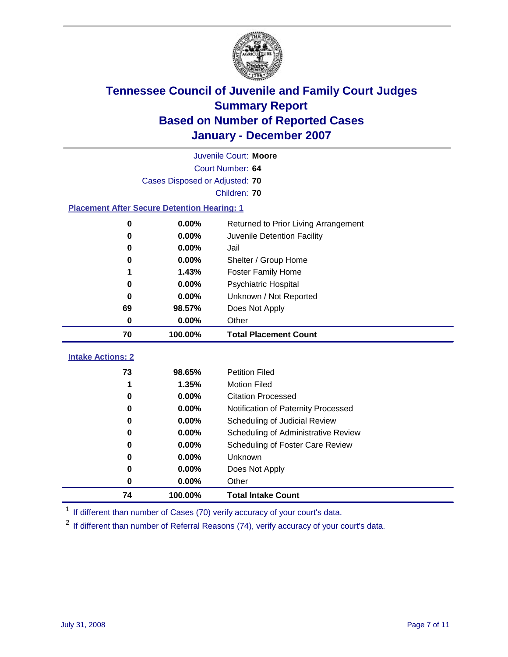

|                                                    | Juvenile Court: Moore          |                                      |  |  |  |
|----------------------------------------------------|--------------------------------|--------------------------------------|--|--|--|
|                                                    | Court Number: 64               |                                      |  |  |  |
|                                                    | Cases Disposed or Adjusted: 70 |                                      |  |  |  |
|                                                    |                                | Children: 70                         |  |  |  |
| <b>Placement After Secure Detention Hearing: 1</b> |                                |                                      |  |  |  |
| 0                                                  | 0.00%                          | Returned to Prior Living Arrangement |  |  |  |
| $\bf{0}$                                           | 0.00%                          | Juvenile Detention Facility          |  |  |  |
| $\bf{0}$                                           | 0.00%                          | Jail                                 |  |  |  |
| 0                                                  | 0.00%                          | Shelter / Group Home                 |  |  |  |
| 1                                                  | 1.43%                          | <b>Foster Family Home</b>            |  |  |  |
| $\bf{0}$                                           | 0.00%                          | Psychiatric Hospital                 |  |  |  |
| 0                                                  | 0.00%                          | Unknown / Not Reported               |  |  |  |
| 69                                                 | 98.57%                         | Does Not Apply                       |  |  |  |
| 0                                                  | $0.00\%$                       | Other                                |  |  |  |
|                                                    |                                |                                      |  |  |  |
| 70                                                 | 100.00%                        | <b>Total Placement Count</b>         |  |  |  |
| <b>Intake Actions: 2</b>                           |                                |                                      |  |  |  |
| 73                                                 | 98.65%                         | <b>Petition Filed</b>                |  |  |  |
| 1                                                  | 1.35%                          | <b>Motion Filed</b>                  |  |  |  |
| 0                                                  | 0.00%                          | <b>Citation Processed</b>            |  |  |  |
| 0                                                  | 0.00%                          | Notification of Paternity Processed  |  |  |  |
| 0                                                  | 0.00%                          | Scheduling of Judicial Review        |  |  |  |
| 0                                                  | 0.00%                          | Scheduling of Administrative Review  |  |  |  |
| 0                                                  | 0.00%                          | Scheduling of Foster Care Review     |  |  |  |
| 0                                                  | 0.00%                          | Unknown                              |  |  |  |
| 0                                                  | 0.00%                          | Does Not Apply                       |  |  |  |
| 0                                                  | 0.00%                          | Other                                |  |  |  |

<sup>1</sup> If different than number of Cases (70) verify accuracy of your court's data.

<sup>2</sup> If different than number of Referral Reasons (74), verify accuracy of your court's data.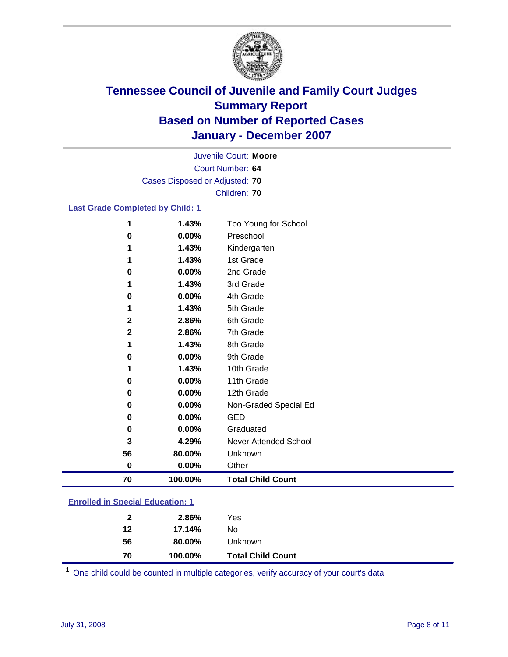

Court Number: **64** Juvenile Court: **Moore** Cases Disposed or Adjusted: **70** Children: **70**

### **Last Grade Completed by Child: 1**

| 1            | 1.43%   | Too Young for School     |
|--------------|---------|--------------------------|
| $\bf{0}$     | 0.00%   | Preschool                |
| 1            | 1.43%   | Kindergarten             |
| 1            | 1.43%   | 1st Grade                |
| $\bf{0}$     | 0.00%   | 2nd Grade                |
| 1            | 1.43%   | 3rd Grade                |
| 0            | 0.00%   | 4th Grade                |
|              | 1.43%   | 5th Grade                |
| $\mathbf{2}$ | 2.86%   | 6th Grade                |
| $\mathbf 2$  | 2.86%   | 7th Grade                |
| 1            | 1.43%   | 8th Grade                |
| 0            | 0.00%   | 9th Grade                |
| 1            | 1.43%   | 10th Grade               |
| $\bf{0}$     | 0.00%   | 11th Grade               |
| 0            | 0.00%   | 12th Grade               |
| 0            | 0.00%   | Non-Graded Special Ed    |
| $\bf{0}$     | 0.00%   | <b>GED</b>               |
| $\bf{0}$     | 0.00%   | Graduated                |
| 3            | 4.29%   | Never Attended School    |
| 56           | 80.00%  | Unknown                  |
| $\bf{0}$     | 0.00%   | Other                    |
| 70           | 100.00% | <b>Total Child Count</b> |

### **Enrolled in Special Education: 1**

| 70           | 100.00% | <b>Total Child Count</b> |
|--------------|---------|--------------------------|
| 56           | 80.00%  | Unknown                  |
| 12           | 17.14%  | No                       |
| $\mathbf{2}$ | 2.86%   | Yes                      |

One child could be counted in multiple categories, verify accuracy of your court's data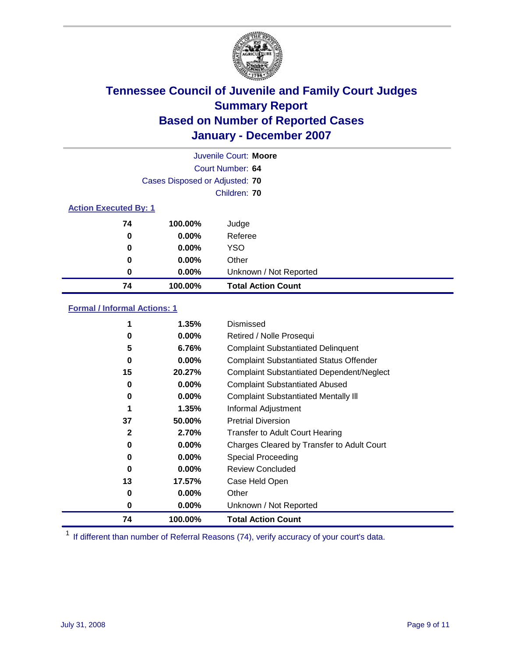

|                              |                                | Juvenile Court: Moore     |
|------------------------------|--------------------------------|---------------------------|
|                              |                                | Court Number: 64          |
|                              | Cases Disposed or Adjusted: 70 |                           |
|                              |                                | Children: 70              |
| <b>Action Executed By: 1</b> |                                |                           |
| 74                           | 100.00%                        | Judge                     |
| 0                            | $0.00\%$                       | Referee                   |
| 0                            | $0.00\%$                       | <b>YSO</b>                |
| 0                            | $0.00\%$                       | Other                     |
| 0                            | $0.00\%$                       | Unknown / Not Reported    |
| 74                           | 100.00%                        | <b>Total Action Count</b> |

### **Formal / Informal Actions: 1**

|              | 1.35%    | Dismissed                                        |
|--------------|----------|--------------------------------------------------|
| 0            | $0.00\%$ | Retired / Nolle Prosequi                         |
| 5            | 6.76%    | <b>Complaint Substantiated Delinquent</b>        |
| 0            | $0.00\%$ | <b>Complaint Substantiated Status Offender</b>   |
| 15           | 20.27%   | <b>Complaint Substantiated Dependent/Neglect</b> |
| 0            | $0.00\%$ | <b>Complaint Substantiated Abused</b>            |
| 0            | $0.00\%$ | <b>Complaint Substantiated Mentally III</b>      |
|              | 1.35%    | Informal Adjustment                              |
| 37           | 50.00%   | <b>Pretrial Diversion</b>                        |
| $\mathbf{2}$ | 2.70%    | <b>Transfer to Adult Court Hearing</b>           |
| 0            | $0.00\%$ | Charges Cleared by Transfer to Adult Court       |
| 0            | $0.00\%$ | Special Proceeding                               |
| 0            | $0.00\%$ | <b>Review Concluded</b>                          |
| 13           | 17.57%   | Case Held Open                                   |
| 0            | $0.00\%$ | Other                                            |
| 0            | $0.00\%$ | Unknown / Not Reported                           |
| 74           | 100.00%  | <b>Total Action Count</b>                        |

<sup>1</sup> If different than number of Referral Reasons (74), verify accuracy of your court's data.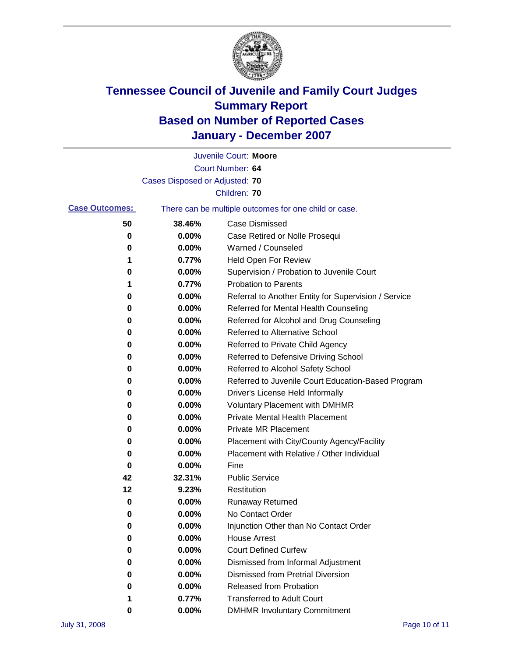

|                       |                                | Juvenile Court: Moore                                 |
|-----------------------|--------------------------------|-------------------------------------------------------|
|                       |                                | Court Number: 64                                      |
|                       | Cases Disposed or Adjusted: 70 |                                                       |
|                       |                                | Children: 70                                          |
| <b>Case Outcomes:</b> |                                | There can be multiple outcomes for one child or case. |
| 50                    | 38.46%                         | <b>Case Dismissed</b>                                 |
| 0                     | 0.00%                          | Case Retired or Nolle Prosequi                        |
| 0                     | 0.00%                          | Warned / Counseled                                    |
| 1                     | 0.77%                          | <b>Held Open For Review</b>                           |
| 0                     | 0.00%                          | Supervision / Probation to Juvenile Court             |
| 1                     | 0.77%                          | <b>Probation to Parents</b>                           |
| 0                     | 0.00%                          | Referral to Another Entity for Supervision / Service  |
| 0                     | 0.00%                          | Referred for Mental Health Counseling                 |
| 0                     | 0.00%                          | Referred for Alcohol and Drug Counseling              |
| 0                     | 0.00%                          | Referred to Alternative School                        |
| 0                     | 0.00%                          | Referred to Private Child Agency                      |
| 0                     | 0.00%                          | Referred to Defensive Driving School                  |
| 0                     | 0.00%                          | Referred to Alcohol Safety School                     |
| 0                     | 0.00%                          | Referred to Juvenile Court Education-Based Program    |
| 0                     | 0.00%                          | Driver's License Held Informally                      |
| 0                     | 0.00%                          | <b>Voluntary Placement with DMHMR</b>                 |
| 0                     | 0.00%                          | <b>Private Mental Health Placement</b>                |
| 0                     | 0.00%                          | Private MR Placement                                  |
| 0                     | 0.00%                          | Placement with City/County Agency/Facility            |
| 0                     | 0.00%                          | Placement with Relative / Other Individual            |
| 0                     | 0.00%                          | Fine                                                  |
| 42                    | 32.31%                         | <b>Public Service</b>                                 |
| 12                    | 9.23%                          | Restitution                                           |
| 0                     | 0.00%                          | <b>Runaway Returned</b>                               |
| 0                     | 0.00%                          | No Contact Order                                      |
| 0                     | 0.00%                          | Injunction Other than No Contact Order                |
| 0                     | 0.00%                          | <b>House Arrest</b>                                   |
| 0                     | 0.00%                          | <b>Court Defined Curfew</b>                           |
| 0                     | 0.00%                          | Dismissed from Informal Adjustment                    |
| 0                     | 0.00%                          | <b>Dismissed from Pretrial Diversion</b>              |
| 0                     | 0.00%                          | Released from Probation                               |
|                       | 0.77%                          | <b>Transferred to Adult Court</b>                     |
| 0                     | 0.00%                          | <b>DMHMR Involuntary Commitment</b>                   |